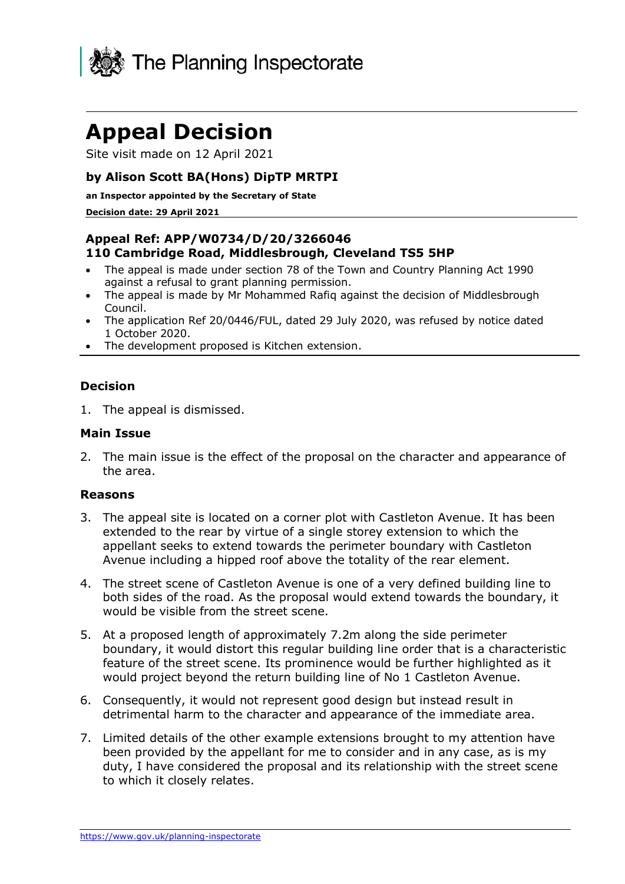

# **Appeal Decision**

Site visit made on 12 April 2021

# **by Alison Scott BA(Hons) DipTP MRTPI**

#### **an Inspector appointed by the Secretary of State**

#### **Decision date: 29 April 2021**

## **Appeal Ref: APP/W0734/D/20/3266046 110 Cambridge Road, Middlesbrough, Cleveland TS5 5HP**

- The appeal is made under section 78 of the Town and Country Planning Act 1990 against a refusal to grant planning permission.
- The appeal is made by Mr Mohammed Rafiq against the decision of Middlesbrough Council.
- The application Ref 20/0446/FUL, dated 29 July 2020, was refused by notice dated 1 October 2020.
- The development proposed is Kitchen extension.

## **Decision**

1. The appeal is dismissed.

## **Main Issue**

2. The main issue is the effect of the proposal on the character and appearance of the area.

#### **Reasons**

- 3. The appeal site is located on a corner plot with Castleton Avenue. It has been extended to the rear by virtue of a single storey extension to which the appellant seeks to extend towards the perimeter boundary with Castleton Avenue including a hipped roof above the totality of the rear element.
- 4. The street scene of Castleton Avenue is one of a very defined building line to both sides of the road. As the proposal would extend towards the boundary, it would be visible from the street scene.
- 5. At a proposed length of approximately 7.2m along the side perimeter boundary, it would distort this regular building line order that is a characteristic feature of the street scene. Its prominence would be further highlighted as it would project beyond the return building line of No 1 Castleton Avenue.
- 6. Consequently, it would not represent good design but instead result in detrimental harm to the character and appearance of the immediate area.
- 7. Limited details of the other example extensions brought to my attention have been provided by the appellant for me to consider and in any case, as is my duty, I have considered the proposal and its relationship with the street scene to which it closely relates.